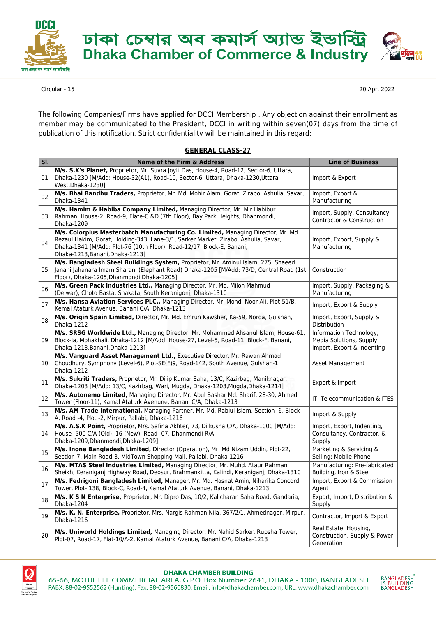

ঢাকা চেম্বার অব কমার্স অ্যান্ড ইন্ডার্স্টি<br>Dhaka Chamber of Commerce & Industry



Circular - 15 20 Apr, 2022

The following Companies/Firms have applied for DCCI Membership . Any objection against their enrollment as member may be communicated to the President, DCCI in writing within seven(07) days from the time of publication of this notification. Strict confidentiality will be maintained in this regard:

## **GENERAL CLASS-27**

| SI. | Name of the Firm & Address                                                                                                                                                                                                                                                         | <b>Line of Business</b>                                                           |
|-----|------------------------------------------------------------------------------------------------------------------------------------------------------------------------------------------------------------------------------------------------------------------------------------|-----------------------------------------------------------------------------------|
| 01  | M/s. S.K's Planet, Proprietor, Mr. Suvra Joyti Das, House-4, Road-12, Sector-6, Uttara,<br>Dhaka-1230 [M/Add: House-32(A1), Road-10, Sector-6, Uttara, Dhaka-1230, Uttara<br>West, Dhaka-1230]                                                                                     | Import & Export                                                                   |
| 02  | M/s. Bhai Bandhu Traders, Proprietor, Mr. Md. Mohir Alam, Gorat, Zirabo, Ashulia, Savar,<br>Dhaka-1341                                                                                                                                                                             | Import, Export &<br>Manufacturing                                                 |
| 03  | M/s. Hamim & Habiba Company Limited, Managing Director, Mr. Mir Habibur<br>Rahman, House-2, Road-9, Flate-C &D (7th Floor), Bay Park Heights, Dhanmondi,<br>Dhaka-1209                                                                                                             | Import, Supply, Consultancy,<br>Contractor & Construction                         |
| 04  | M/s. Colorplus Masterbatch Manufacturing Co. Limited, Managing Director, Mr. Md.<br>Rezaul Hakim, Gorat, Holding-343, Lane-3/1, Sarker Market, Zirabo, Ashulia, Savar,<br>Dhaka-1341 [M/Add: Plot-76 (10th Floor), Road-12/17, Block-E, Banani,<br>Dhaka-1213, Banani, Dhaka-1213] | Import, Export, Supply &<br>Manufacturing                                         |
| 05  | M/s. Bangladesh Steel Buildings System, Proprietor, Mr. Aminul Islam, 275, Shaeed<br>Janani Jahanara Imam Sharani (Elephant Road) Dhaka-1205 [M/Add: 73/D, Central Road (1st<br>Floor), Dhaka-1205, Dhanmondi, Dhaka-1205]                                                         | Construction                                                                      |
| 06  | M/s. Green Pack Industries Ltd., Managing Director, Mr. Md. Milon Mahmud<br>(Delwar), Choto Basta, Shakata, South Keranigonj, Dhaka-1310                                                                                                                                           | Import, Supply, Packaging &<br>Manufacturing                                      |
| 07  | M/s. Hansa Aviation Services PLC., Managing Director, Mr. Mohd. Noor Ali, Plot-51/B,<br>Kemal Ataturk Avenue, Banani C/A, Dhaka-1213                                                                                                                                               | Import, Export & Supply                                                           |
| 08  | M/s. Origin Spain Limited, Director, Mr. Md. Emrun Kawsher, Ka-59, Norda, Gulshan,<br>Dhaka-1212                                                                                                                                                                                   | Import, Export, Supply &<br>Distribution                                          |
| 09  | M/s. SRSG Worldwide Ltd., Managing Director, Mr. Mohammed Ahsanul Islam, House-61,<br>Block-Ja, Mohakhali, Dhaka-1212 [M/Add: House-27, Level-5, Road-11, Block-F, Banani,<br>Dhaka-1213, Banani, Dhaka-1213]                                                                      | Information Technology,<br>Media Solutions, Supply,<br>Import, Export & Indenting |
| 10  | M/s. Vanguard Asset Management Ltd., Executive Director, Mr. Rawan Ahmad<br>Choudhury, Symphony (Level-6), Plot-SE(F)9, Road-142, South Avenue, Gulshan-1,<br>Dhaka-1212                                                                                                           | Asset Management                                                                  |
| 11  | M/s. Sukriti Traders, Proprietor, Mr. Dilip Kumar Saha, 13/C, Kazirbag, Maniknagar,<br>Dhaka-1203 [M/Add: 13/C, Kazirbag, Wari, Mugda, Dhaka-1203, Mugda, Dhaka-1214]                                                                                                              | Export & Import                                                                   |
| 12  | M/s. Autonemo Limited, Managing Director, Mr. Abul Bashar Md. Sharif, 28-30, Ahmed<br>Tower (Floor-11), Kamal Ataturk Avenune, Banani C/A, Dhaka-1213                                                                                                                              | IT, Telecommunication & ITES                                                      |
| 13  | M/s. AM Trade International, Managing Partner, Mr. Md. Rabiul Islam, Section -6, Block -<br>A, Road -4, Plot -2, Mirpur, Pallabi, Dhaka-1216                                                                                                                                       | Import & Supply                                                                   |
| 14  | M/s. A.S.K Point, Proprietor, Mrs. Safina Akhter, 73, Dilkusha C/A, Dhaka-1000 [M/Add:<br>House- 500 C/A (Old), 16 (New), Road- 07, Dhanmondi R/A,<br>Dhaka-1209, Dhanmondi, Dhaka-1209]                                                                                           | Import, Export, Indenting,<br>Consultancy, Contractor, &<br>Supply                |
| 15  | M/s. Inone Bangladesh Limited, Director (Operation), Mr. Md Nizam Uddin, Plot-22,<br>Section-7, Main Road-3, MidTown Shopping Mall, Pallabi, Dhaka-1216                                                                                                                            | Marketing & Servicing &<br>Selling: Mobile Phone                                  |
| 16  | M/s. MTAS Steel Industries Limited, Managing Director, Mr. Muhd. Ataur Rahman<br>Sheikh, Keraniganj Highway Road, Deosur, Brahmankitta, Kalindi, Keraniganj, Dhaka-1310                                                                                                            | Manufacturing: Pre-fabricated<br>Building, Iron & Steel                           |
| 17  | M/s. Fedrigoni Bangladesh Limited, Manager, Mr. Md. Hasnat Amin, Niharika Concord<br>Tower, Plot- 138, Block-C, Road-4, Kamal Ataturk Avenue, Banani, Dhaka-1213                                                                                                                   | Import, Export & Commission<br>Agent                                              |
| 18  | M/s. K S N Enterprise, Proprietor, Mr. Dipro Das, 10/2, Kalicharan Saha Road, Gandaria,<br>Dhaka-1204                                                                                                                                                                              | Export, Import, Distribution &<br>Supply                                          |
| 19  | M/s. K. N. Enterprise, Proprietor, Mrs. Nargis Rahman Nila, 367/2/1, Ahmednagor, Mirpur,<br>Dhaka-1216                                                                                                                                                                             | Contractor, Import & Export                                                       |
| 20  | M/s. Uniworld Holdings Limited, Managing Director, Mr. Nahid Sarker, Rupsha Tower,<br>Plot-07, Road-17, Flat-10/A-2, Kamal Ataturk Avenue, Banani C/A, Dhaka-1213                                                                                                                  | Real Estate, Housing,<br>Construction, Supply & Power<br>Generation               |